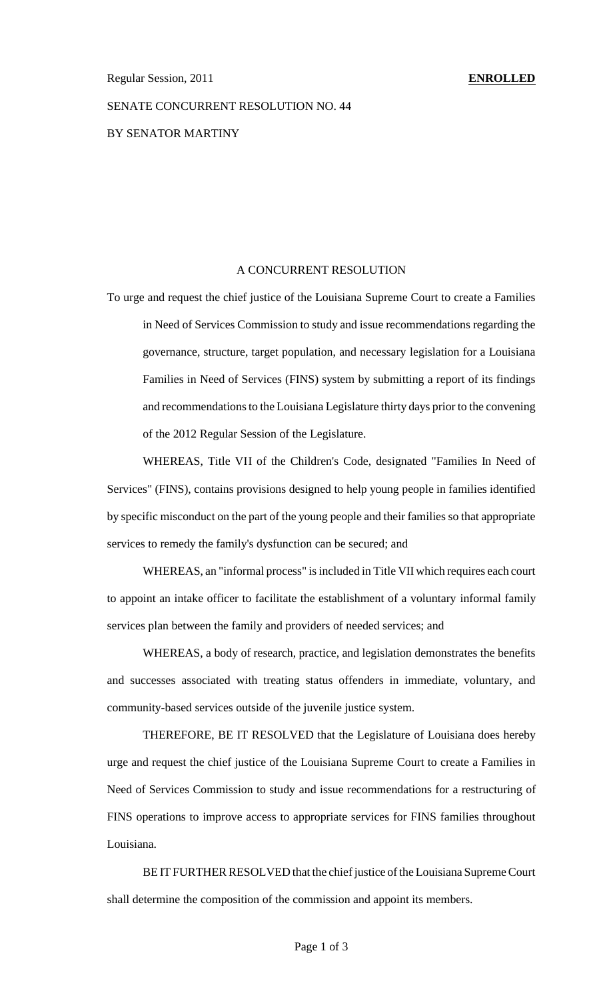# SENATE CONCURRENT RESOLUTION NO. 44 BY SENATOR MARTINY

### A CONCURRENT RESOLUTION

To urge and request the chief justice of the Louisiana Supreme Court to create a Families in Need of Services Commission to study and issue recommendations regarding the governance, structure, target population, and necessary legislation for a Louisiana Families in Need of Services (FINS) system by submitting a report of its findings and recommendations to the Louisiana Legislature thirty days prior to the convening of the 2012 Regular Session of the Legislature.

WHEREAS, Title VII of the Children's Code, designated "Families In Need of Services" (FINS), contains provisions designed to help young people in families identified by specific misconduct on the part of the young people and their families so that appropriate services to remedy the family's dysfunction can be secured; and

WHEREAS, an "informal process" isincluded in Title VII which requires each court to appoint an intake officer to facilitate the establishment of a voluntary informal family services plan between the family and providers of needed services; and

WHEREAS, a body of research, practice, and legislation demonstrates the benefits and successes associated with treating status offenders in immediate, voluntary, and community-based services outside of the juvenile justice system.

THEREFORE, BE IT RESOLVED that the Legislature of Louisiana does hereby urge and request the chief justice of the Louisiana Supreme Court to create a Families in Need of Services Commission to study and issue recommendations for a restructuring of FINS operations to improve access to appropriate services for FINS families throughout Louisiana.

BE IT FURTHER RESOLVED that the chief justice of the Louisiana Supreme Court shall determine the composition of the commission and appoint its members.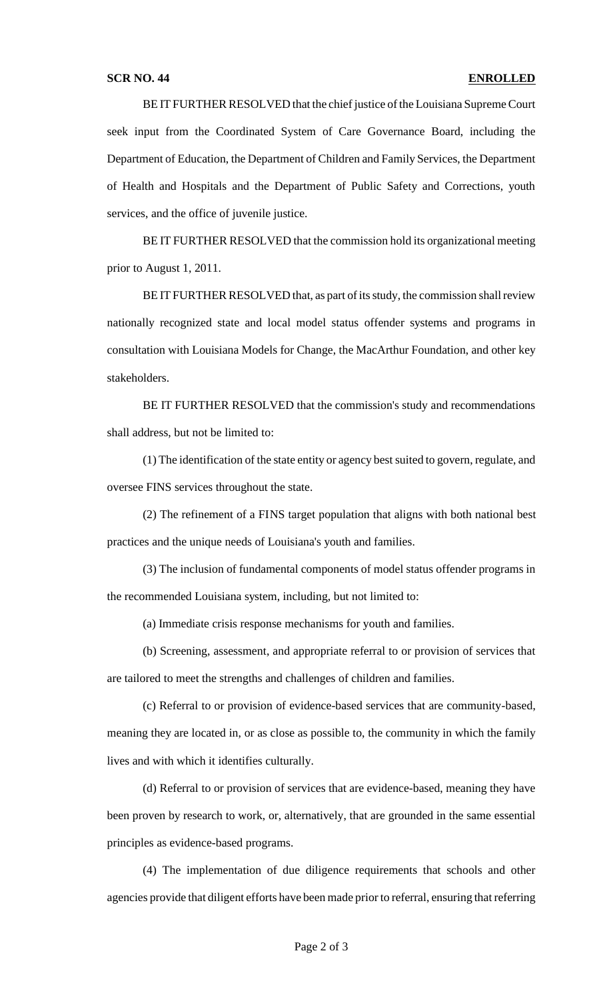### **SCR NO. 44 ENROLLED**

BE IT FURTHER RESOLVED that the chief justice of the Louisiana Supreme Court seek input from the Coordinated System of Care Governance Board, including the Department of Education, the Department of Children and Family Services, the Department of Health and Hospitals and the Department of Public Safety and Corrections, youth services, and the office of juvenile justice.

BE IT FURTHER RESOLVED that the commission hold its organizational meeting prior to August 1, 2011.

BE IT FURTHER RESOLVED that, as part of its study, the commission shall review nationally recognized state and local model status offender systems and programs in consultation with Louisiana Models for Change, the MacArthur Foundation, and other key stakeholders.

BE IT FURTHER RESOLVED that the commission's study and recommendations shall address, but not be limited to:

(1) The identification of the state entity or agency bestsuited to govern, regulate, and oversee FINS services throughout the state.

(2) The refinement of a FINS target population that aligns with both national best practices and the unique needs of Louisiana's youth and families.

(3) The inclusion of fundamental components of model status offender programs in the recommended Louisiana system, including, but not limited to:

(a) Immediate crisis response mechanisms for youth and families.

(b) Screening, assessment, and appropriate referral to or provision of services that are tailored to meet the strengths and challenges of children and families.

(c) Referral to or provision of evidence-based services that are community-based, meaning they are located in, or as close as possible to, the community in which the family lives and with which it identifies culturally.

(d) Referral to or provision of services that are evidence-based, meaning they have been proven by research to work, or, alternatively, that are grounded in the same essential principles as evidence-based programs.

(4) The implementation of due diligence requirements that schools and other agencies provide that diligent efforts have been made prior to referral, ensuring that referring